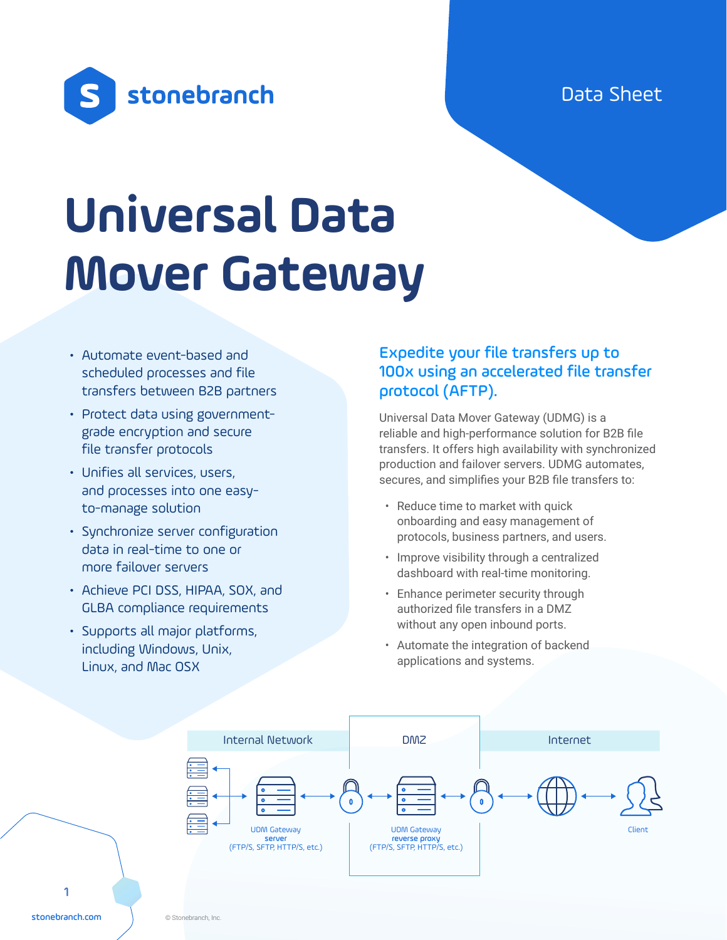Data Sheet



# **Universal Data Mover Gateway**

- Automate event-based and scheduled processes and file transfers between B2B partners
- Protect data using governmentgrade encryption and secure file transfer protocols
- Unifies all services, users, and processes into one easyto-manage solution
- Synchronize server configuration data in real-time to one or more failover servers
- Achieve PCI DSS, HIPAA, SOX, and GLBA compliance requirements
- Supports all major platforms, including Windows, Unix, Linux, and Mac OSX

## Expedite your file transfers up to 100x using an accelerated file transfer protocol (AFTP).

Universal Data Mover Gateway (UDMG) is a reliable and high-performance solution for B2B file transfers. It offers high availability with synchronized production and failover servers. UDMG automates, secures, and simplifies your B2B file transfers to:

- Reduce time to market with quick onboarding and easy management of protocols, business partners, and users.
- Improve visibility through a centralized dashboard with real-time monitoring.
- Enhance perimeter security through authorized file transfers in a DMZ without any open inbound ports.
- Automate the integration of backend applications and systems.